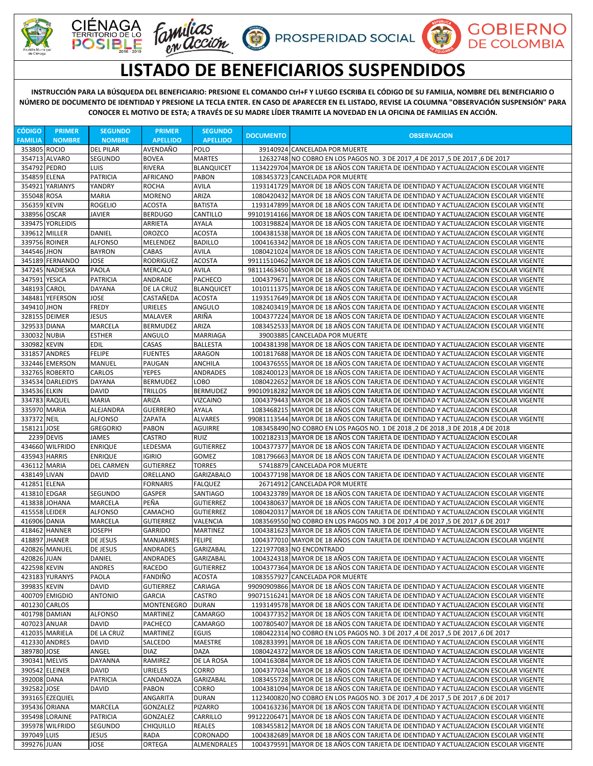

С







## **LISTADO DE BENEFICIARIOS SUSPENDIDOS**

 $\mathbf{U}$ 

**INSTRUCCIÓN PARA LA BÚSQUEDA DEL BENEFICIARIO: PRESIONE EL COMANDO Ctrl+F Y LUEGO ESCRIBA EL CÓDIGO DE SU FAMILIA, NOMBRE DEL BENEFICIARIO O NÚMERO DE DOCUMENTO DE IDENTIDAD Y PRESIONE LA TECLA ENTER. EN CASO DE APARECER EN EL LISTADO, REVISE LA COLUMNA "OBSERVACIÓN SUSPENSIÓN" PARA CONOCER EL MOTIVO DE ESTA; A TRAVÉS DE SU MADRE LÍDER TRAMITE LA NOVEDAD EN LA OFICINA DE FAMILIAS EN ACCIÓN.**

| <b>CÓDIGO</b>  | <b>PRIMER</b>                  | <b>SEGUNDO</b>                    | <b>PRIMER</b>                 | <b>SEGUNDO</b>                   | <b>DOCUMENTO</b> | <b>OBSERVACION</b>                                                                                                                                                           |
|----------------|--------------------------------|-----------------------------------|-------------------------------|----------------------------------|------------------|------------------------------------------------------------------------------------------------------------------------------------------------------------------------------|
| <b>FAMILIA</b> | <b>NOMBRE</b>                  | <b>NOMBRE</b>                     | <b>APELLIDO</b>               | <b>APELLIDO</b>                  |                  |                                                                                                                                                                              |
| 353805 ROCIO   |                                | <b>DEL PILAR</b>                  | AVENDAÑO                      | <b>POLO</b>                      |                  | 39140924 CANCELADA POR MUERTE                                                                                                                                                |
|                | 354713 ALVARO                  | SEGUNDO                           | <b>BOVEA</b>                  | <b>MARTES</b>                    |                  | 12632748 NO COBRO EN LOS PAGOS NO. 3 DE 2017 ,4 DE 2017 ,5 DE 2017 ,6 DE 2017                                                                                                |
| 354792 PEDRO   |                                | <b>LUIS</b>                       | <b>RIVERA</b>                 | <b>BLANQUICET</b>                |                  | 1134229704 MAYOR DE 18 AÑOS CON TARJETA DE IDENTIDAD Y ACTUALIZACION ESCOLAR VIGENTE                                                                                         |
| 354859 ELENA   |                                | <b>PATRICIA</b>                   | AFRICANO                      | <b>PABON</b>                     |                  | 1083453723 CANCELADA POR MUERTE                                                                                                                                              |
| 355048 ROSA    | 354921 YARIANYS                | YANDRY<br><b>MARIA</b>            | <b>ROCHA</b><br><b>MORENO</b> | <b>AVILA</b><br>ARIZA            |                  | 1193141729 MAYOR DE 18 AÑOS CON TARJETA DE IDENTIDAD Y ACTUALIZACION ESCOLAR VIGENTE<br>1080420432 MAYOR DE 18 AÑOS CON TARJETA DE IDENTIDAD Y ACTUALIZACION ESCOLAR VIGENTE |
| 356359 KEVIN   |                                | <b>ROGELIO</b>                    | <b>ACOSTA</b>                 | <b>BATISTA</b>                   |                  | 1193147899 MAYOR DE 18 AÑOS CON TARJETA DE IDENTIDAD Y ACTUALIZACION ESCOLAR VIGENTE                                                                                         |
| 338956 OSCAR   |                                | <b>JAVIER</b>                     | <b>BERDUGO</b>                | CANTILLO                         |                  | 99101914166 MAYOR DE 18 AÑOS CON TARJETA DE IDENTIDAD Y ACTUALIZACION ESCOLAR VIGENTE                                                                                        |
|                | 339475 YORLEIDIS               |                                   | ARRIETA                       | <b>AYALA</b>                     |                  | 1003198824 MAYOR DE 18 AÑOS CON TARJETA DE IDENTIDAD Y ACTUALIZACION ESCOLAR VIGENTE                                                                                         |
| 339612 MILLER  |                                | <b>DANIEL</b>                     | <b>OROZCO</b>                 | <b>ACOSTA</b>                    |                  | 1004381538 MAYOR DE 18 AÑOS CON TARJETA DE IDENTIDAD Y ACTUALIZACION ESCOLAR VIGENTE                                                                                         |
|                | 339756 ROINER                  | <b>ALFONSO</b>                    | MELENDEZ                      | <b>BADILLO</b>                   |                  | 1004163342 MAYOR DE 18 AÑOS CON TARJETA DE IDENTIDAD Y ACTUALIZACION ESCOLAR VIGENTE                                                                                         |
| 344546 JHON    |                                | <b>BAYRON</b>                     | CABAS                         | <b>AVILA</b>                     |                  | 1080421024 MAYOR DE 18 AÑOS CON TARJETA DE IDENTIDAD Y ACTUALIZACION ESCOLAR VIGENTE                                                                                         |
|                | 345189 FERNANDO                | <b>JOSE</b>                       | <b>RODRIGUEZ</b>              | <b>ACOSTA</b>                    |                  | 99111510462 MAYOR DE 18 AÑOS CON TARJETA DE IDENTIDAD Y ACTUALIZACION ESCOLAR VIGENTE                                                                                        |
|                | 347245 NADIESKA                | <b>PAOLA</b>                      | <b>MERCALO</b>                | <b>AVILA</b>                     |                  | 98111463450 MAYOR DE 18 AÑOS CON TARJETA DE IDENTIDAD Y ACTUALIZACION ESCOLAR VIGENTE                                                                                        |
| 347591 YESICA  |                                | <b>PATRICIA</b>                   | ANDRADE                       | <b>PACHECO</b>                   |                  | 1004379671 MAYOR DE 18 AÑOS CON TARJETA DE IDENTIDAD Y ACTUALIZACION ESCOLAR VIGENTE                                                                                         |
| 348193 CAROL   |                                | DAYANA                            | DE LA CRUZ                    | <b>BLANQUICET</b>                |                  | 1010111375 MAYOR DE 18 AÑOS CON TARJETA DE IDENTIDAD Y ACTUALIZACION ESCOLAR VIGENTE                                                                                         |
| 349410 JHON    | 348481 YEFERSON                | JOSE<br><b>FREDY</b>              | CASTAÑEDA                     | <b>ACOSTA</b><br>ANGULO          |                  | 1193517649 MAYOR DE 18 AÑOS CON TARJETA DE IDENTIDAD Y ACTUALIZACION ESCOLAR                                                                                                 |
|                | 328155 DEIMER                  | <b>JESUS</b>                      | URIELES<br><b>MALAVER</b>     | ARIÑA                            |                  | 1082403419 MAYOR DE 18 AÑOS CON TARJETA DE IDENTIDAD Y ACTUALIZACION ESCOLAR VIGENTE<br>1004377224 MAYOR DE 18 AÑOS CON TARJETA DE IDENTIDAD Y ACTUALIZACION ESCOLAR VIGENTE |
| 329533 DIANA   |                                | MARCELA                           | <b>BERMUDEZ</b>               | ARIZA                            |                  | 1083452533 MAYOR DE 18 AÑOS CON TARJETA DE IDENTIDAD Y ACTUALIZACION ESCOLAR VIGENTE                                                                                         |
| 330032 NUBIA   |                                | <b>ESTHER</b>                     | ANGULO                        | <b>MARRIAGA</b>                  |                  | 39003885 CANCELADA POR MUERTE                                                                                                                                                |
| 330982 KEVIN   |                                | EDIL                              | CASAS                         | <b>BALLESTA</b>                  |                  | 1004381398 MAYOR DE 18 AÑOS CON TARJETA DE IDENTIDAD Y ACTUALIZACION ESCOLAR VIGENTE                                                                                         |
|                | 331857 ANDRES                  | <b>FELIPE</b>                     | <b>FUENTES</b>                | <b>ARAGON</b>                    |                  | 1001817688 MAYOR DE 18 AÑOS CON TARJETA DE IDENTIDAD Y ACTUALIZACION ESCOLAR VIGENTE                                                                                         |
|                | 332446 EMERSON                 | <b>MANUEL</b>                     | PAUGAN                        | ANCHILA                          |                  | 1004376555 MAYOR DE 18 AÑOS CON TARJETA DE IDENTIDAD Y ACTUALIZACION ESCOLAR VIGENTE                                                                                         |
|                | 332765 ROBERTO                 | CARLOS                            | <b>YEPES</b>                  | <b>ANDRADES</b>                  |                  | 1082400123 MAYOR DE 18 AÑOS CON TARJETA DE IDENTIDAD Y ACTUALIZACION ESCOLAR VIGENTE                                                                                         |
|                | 334534 DARLEIDYS               | <b>DAYANA</b>                     | <b>BERMUDEZ</b>               | <b>LOBO</b>                      |                  | 1080422652 MAYOR DE 18 AÑOS CON TARJETA DE IDENTIDAD Y ACTUALIZACION ESCOLAR VIGENTE                                                                                         |
| 334536 ELKIN   |                                | DAVID                             | <b>TRILLOS</b>                | <b>BERMUDEZ</b>                  |                  | 99010918282 MAYOR DE 18 AÑOS CON TARJETA DE IDENTIDAD Y ACTUALIZACION ESCOLAR VIGENTE                                                                                        |
|                | 334783 RAQUEL                  | <b>MARIA</b>                      | ARIZA                         | <b>VIZCAINO</b>                  |                  | 1004379443 MAYOR DE 18 AÑOS CON TARJETA DE IDENTIDAD Y ACTUALIZACION ESCOLAR VIGENTE                                                                                         |
| 335970 MARIA   |                                | ALEJANDRA                         | <b>GUERRERO</b>               | <b>AYALA</b>                     |                  | 1083468215 MAYOR DE 18 AÑOS CON TARJETA DE IDENTIDAD Y ACTUALIZACION ESCOLAR                                                                                                 |
| 337372 NEIL    |                                | <b>ALFONSO</b><br><b>GREGORIO</b> | <b>ZAPATA</b>                 | <b>ALVARES</b>                   |                  | 99081113544 MAYOR DE 18 AÑOS CON TARJETA DE IDENTIDAD Y ACTUALIZACION ESCOLAR VIGENTE                                                                                        |
| 158121 JOSE    | 2239 DEVIS                     | JAMES                             | <b>PABON</b><br><b>CASTRO</b> | AGUIRRE<br><b>RUIZ</b>           |                  | 1083458490 NO COBRO EN LOS PAGOS NO. 1 DE 2018, 2 DE 2018, 3 DE 2018, 4 DE 2018<br>1002182313 MAYOR DE 18 AÑOS CON TARJETA DE IDENTIDAD Y ACTUALIZACION ESCOLAR              |
|                | 434660 WILFRIDO                | <b>ENRIQUE</b>                    | LEDESMA                       | <b>GUTIERREZ</b>                 |                  | 1004377377 MAYOR DE 18 AÑOS CON TARJETA DE IDENTIDAD Y ACTUALIZACION ESCOLAR VIGENTE                                                                                         |
| 435943 HARRIS  |                                | <b>ENRIQUE</b>                    | <b>IGIRIO</b>                 | GOMEZ                            |                  | 1081796663 MAYOR DE 18 AÑOS CON TARJETA DE IDENTIDAD Y ACTUALIZACION ESCOLAR VIGENTE                                                                                         |
| 436112 MARIA   |                                | <b>DEL CARMEN</b>                 | <b>GUTIERREZ</b>              | <b>TORRES</b>                    |                  | 57418879 CANCELADA POR MUERTE                                                                                                                                                |
| 438149 LIVAN   |                                | <b>DAVID</b>                      | ORELLANO                      | <b>GARIZABALO</b>                |                  | 1004377198 MAYOR DE 18 AÑOS CON TARJETA DE IDENTIDAD Y ACTUALIZACION ESCOLAR VIGENTE                                                                                         |
| 412851 ELENA   |                                |                                   | <b>FORNARIS</b>               | <b>FALQUEZ</b>                   |                  | 26714912 CANCELADA POR MUERTE                                                                                                                                                |
| 413810 EDGAR   |                                | SEGUNDO                           | GASPER                        | <b>SANTIAGO</b>                  |                  | 1004323789 MAYOR DE 18 AÑOS CON TARJETA DE IDENTIDAD Y ACTUALIZACION ESCOLAR VIGENTE                                                                                         |
|                | 413838 JOHANA                  | <b>MARCELA</b>                    | PEÑA                          | <b>GUTIERREZ</b>                 |                  | 1004380637 MAYOR DE 18 AÑOS CON TARJETA DE IDENTIDAD Y ACTUALIZACION ESCOLAR VIGENTE                                                                                         |
| 415558 LEIDER  |                                | <b>ALFONSO</b>                    | CAMACHO                       | <b>GUTIERREZ</b>                 |                  | 1080420317 MAYOR DE 18 AÑOS CON TARJETA DE IDENTIDAD Y ACTUALIZACION ESCOLAR VIGENTE                                                                                         |
| 416906 DANIA   |                                | MARCELA                           | <b>GUTIERREZ</b>              | VALENCIA                         |                  | 1083569550 NO COBRO EN LOS PAGOS NO. 3 DE 2017,4 DE 2017,5 DE 2017,6 DE 2017                                                                                                 |
|                | 418462 HANNER<br>418897 JHANER | JOSEPH<br>DE JESUS                | GARRIDO<br><b>MANJARRES</b>   | <b>MARTINEZ</b><br><b>FELIPE</b> |                  | 1004381623 MAYOR DE 18 AÑOS CON TARJETA DE IDENTIDAD Y ACTUALIZACION ESCOLAR VIGENTE<br>1004377010 MAYOR DE 18 AÑOS CON TARJETA DE IDENTIDAD Y ACTUALIZACION ESCOLAR VIGENTE |
|                | 420826 MANUEL                  | <b>DE JESUS</b>                   | <b>ANDRADES</b>               | <b>GARIZABAL</b>                 |                  | 1221977083 NO ENCONTRADO                                                                                                                                                     |
| 420826 JUAN    |                                | DANIEL                            | ANDRADES                      | <b>GARIZABAL</b>                 |                  | 1004324318 MAYOR DE 18 AÑOS CON TARJETA DE IDENTIDAD Y ACTUALIZACION ESCOLAR VIGENTE                                                                                         |
| 422598 KEVIN   |                                | <b>ANDRES</b>                     | RACEDO                        | <b>GUTIERREZ</b>                 |                  | 1004377364 MAYOR DE 18 AÑOS CON TARJETA DE IDENTIDAD Y ACTUALIZACION ESCOLAR VIGENTE                                                                                         |
|                | 423183 YURANYS                 | PAOLA                             | FANDIÑO                       | <b>ACOSTA</b>                    |                  | 1083557927 CANCELADA POR MUERTE                                                                                                                                              |
| 399835 KEVIN   |                                | <b>DAVID</b>                      | <b>GUTIERREZ</b>              | CARIAGA                          |                  | 99090909866 MAYOR DE 18 AÑOS CON TARJETA DE IDENTIDAD Y ACTUALIZACION ESCOLAR VIGENTE                                                                                        |
|                | 400709 EMIGDIO                 | <b>ANTONIO</b>                    | <b>GARCIA</b>                 | <b>CASTRO</b>                    |                  | 99071516241 MAYOR DE 18 AÑOS CON TARJETA DE IDENTIDAD Y ACTUALIZACION ESCOLAR VIGENTE                                                                                        |
|                | 401230 CARLOS                  |                                   | MONTENEGRO                    | <b>DURAN</b>                     |                  | 1193149578 MAYOR DE 18 AÑOS CON TARJETA DE IDENTIDAD Y ACTUALIZACION ESCOLAR VIGENTE                                                                                         |
|                | 401798 DAMIAN                  | <b>ALFONSO</b>                    | <b>MARTINEZ</b>               | CAMARGO                          |                  | 1004377352 MAYOR DE 18 AÑOS CON TARJETA DE IDENTIDAD Y ACTUALIZACION ESCOLAR VIGENTE                                                                                         |
| 407023 ANUAR   |                                | <b>DAVID</b>                      | PACHECO                       | <b>CAMARGO</b>                   |                  | 1007805407 MAYOR DE 18 AÑOS CON TARJETA DE IDENTIDAD Y ACTUALIZACION ESCOLAR VIGENTE                                                                                         |
|                | 412035 MARIELA                 | DE LA CRUZ                        | <b>MARTINEZ</b>               | <b>EGUIS</b>                     |                  | 1080422314 NO COBRO EN LOS PAGOS NO. 3 DE 2017, 4 DE 2017, 5 DE 2017, 6 DE 2017                                                                                              |
|                | 412330 ANDRES                  | <b>DAVID</b>                      | SALCEDO                       | <b>MAESTRE</b>                   |                  | 1082833991 MAYOR DE 18 AÑOS CON TARJETA DE IDENTIDAD Y ACTUALIZACION ESCOLAR VIGENTE                                                                                         |
| 389780 JOSE    | 390341 MELVIS                  | ANGEL<br><b>DAYANNA</b>           | <b>DIAZ</b><br>RAMIREZ        | <b>DAZA</b><br>DE LA ROSA        |                  | 1080424372 MAYOR DE 18 AÑOS CON TARJETA DE IDENTIDAD Y ACTUALIZACION ESCOLAR VIGENTE<br>1004163084 MAYOR DE 18 AÑOS CON TARJETA DE IDENTIDAD Y ACTUALIZACION ESCOLAR VIGENTE |
|                | 390542 ELEINER                 | <b>DAVID</b>                      | URIELES                       | <b>CORRO</b>                     |                  | 1004377034 MAYOR DE 18 AÑOS CON TARJETA DE IDENTIDAD Y ACTUALIZACION ESCOLAR VIGENTE                                                                                         |
| 392008 DANA    |                                | <b>PATRICIA</b>                   | CANDANOZA                     | <b>GARIZABAL</b>                 |                  | 1083455728 MAYOR DE 18 AÑOS CON TARJETA DE IDENTIDAD Y ACTUALIZACION ESCOLAR VIGENTE                                                                                         |
| 392582 JOSE    |                                | <b>DAVID</b>                      | <b>PABON</b>                  | <b>CORRO</b>                     |                  | 1004381094 MAYOR DE 18 AÑOS CON TARJETA DE IDENTIDAD Y ACTUALIZACION ESCOLAR VIGENTE                                                                                         |
|                | 393165 EZEQUIEL                |                                   | ANGARITA                      | <b>DURAN</b>                     |                  | 1123400820 NO COBRO EN LOS PAGOS NO. 3 DE 2017 ,4 DE 2017 ,5 DE 2017 ,6 DE 2017                                                                                              |
|                | 395436 ORIANA                  | MARCELA                           | GONZALEZ                      | <b>PIZARRO</b>                   |                  | 1004163236 MAYOR DE 18 AÑOS CON TARJETA DE IDENTIDAD Y ACTUALIZACION ESCOLAR VIGENTE                                                                                         |
|                | 395498 LORAINE                 | <b>PATRICIA</b>                   | GONZALEZ                      | CARRILLO                         |                  | 99122206471 MAYOR DE 18 AÑOS CON TARJETA DE IDENTIDAD Y ACTUALIZACION ESCOLAR VIGENTE                                                                                        |
|                | 395978 WILFRIDO                | SEGUNDO                           | <b>CHIQUILLO</b>              | <b>REALES</b>                    |                  | 1083455812 MAYOR DE 18 AÑOS CON TARJETA DE IDENTIDAD Y ACTUALIZACION ESCOLAR VIGENTE                                                                                         |
| 397049 LUIS    |                                | <b>JESUS</b>                      | <b>RADA</b>                   | <b>CORONADO</b>                  |                  | 1004382689 MAYOR DE 18 AÑOS CON TARJETA DE IDENTIDAD Y ACTUALIZACION ESCOLAR VIGENTE                                                                                         |
| 399276 JUAN    |                                | JOSE                              | ORTEGA                        | ALMENDRALES                      |                  | 1004379591 MAYOR DE 18 AÑOS CON TARJETA DE IDENTIDAD Y ACTUALIZACION ESCOLAR VIGENTE                                                                                         |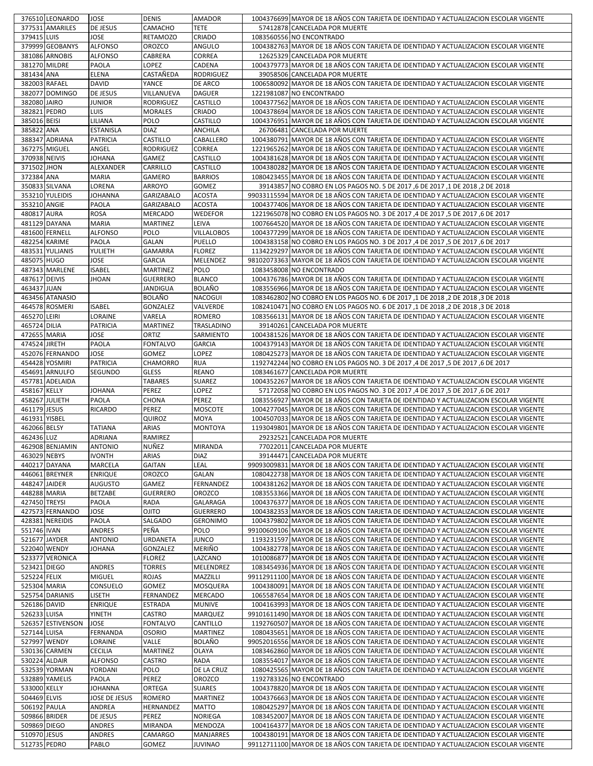|                 | 376510 LEONARDO      | <b>JOSE</b>      | <b>DENIS</b>      | <b>AMADOR</b>     | 1004376699 MAYOR DE 18 AÑOS CON TARJETA DE IDENTIDAD Y ACTUALIZACION ESCOLAR VIGENTE  |
|-----------------|----------------------|------------------|-------------------|-------------------|---------------------------------------------------------------------------------------|
|                 | 377531 AMARILES      | DE JESUS         | CAMACHO           | <b>TETE</b>       | 57412878 CANCELADA POR MUERTE                                                         |
| 379415 LUIS     |                      | JOSE             | RETAMOZO          | CRIADO            | 1083560556 NO ENCONTRADO                                                              |
|                 | 379999 GEOBANYS      | <b>ALFONSO</b>   | <b>OROZCO</b>     | ANGULO            | 1004382763 MAYOR DE 18 AÑOS CON TARJETA DE IDENTIDAD Y ACTUALIZACION ESCOLAR VIGENTE  |
|                 | 381086 ARNOBIS       | <b>ALFONSO</b>   | CABRERA           | CORREA            | 12625329 CANCELADA POR MUERTE                                                         |
|                 | 381270 MILDRE        | PAOLA            | LOPEZ             | CADENA            | 1004379773 MAYOR DE 18 AÑOS CON TARJETA DE IDENTIDAD Y ACTUALIZACION ESCOLAR VIGENTE  |
| 381434 ANA      |                      | <b>ELENA</b>     | CASTAÑEDA         | <b>RODRIGUEZ</b>  | 39058506 CANCELADA POR MUERTE                                                         |
|                 |                      |                  |                   |                   |                                                                                       |
|                 | 382003 RAFAEL        | <b>DAVID</b>     | YANCE             | DE ARCO           | 1006580092 MAYOR DE 18 AÑOS CON TARJETA DE IDENTIDAD Y ACTUALIZACION ESCOLAR VIGENTE  |
|                 | 382077 DOMINGO       | <b>DE JESUS</b>  | VILLANUEVA        | <b>DAGUER</b>     | 1221981087 NO ENCONTRADO                                                              |
| 382080 JAIRO    |                      | JUNIOR           | RODRIGUEZ         | CASTILLO          | 1004377562 MAYOR DE 18 AÑOS CON TARJETA DE IDENTIDAD Y ACTUALIZACION ESCOLAR VIGENTE  |
| 382821 PEDRO    |                      | <b>LUIS</b>      | <b>MORALES</b>    | CRIADO            | 1004378694 MAYOR DE 18 AÑOS CON TARJETA DE IDENTIDAD Y ACTUALIZACION ESCOLAR VIGENTE  |
| 385016 BEISI    |                      | LILIANA          | POLO              | CASTILLO          | 1004376951 MAYOR DE 18 AÑOS CON TARJETA DE IDENTIDAD Y ACTUALIZACION ESCOLAR VIGENTE  |
| 385822 ANA      |                      | <b>ESTANISLA</b> | <b>DIAZ</b>       | ANCHILA           | 26706481 CANCELADA POR MUERTE                                                         |
|                 | 388347 ADRIANA       | <b>PATRICIA</b>  | CASTILLO          | CABALLERO         | 1004380791 MAYOR DE 18 AÑOS CON TARJETA DE IDENTIDAD Y ACTUALIZACION ESCOLAR VIGENTE  |
|                 | 367275 MIGUEL        | ANGEL            | RODRIGUEZ         | CORREA            | 1221965262 MAYOR DE 18 AÑOS CON TARJETA DE IDENTIDAD Y ACTUALIZACION ESCOLAR VIGENTE  |
| 370938 NEIVIS   |                      | JOHANA           | GAMEZ             | CASTILLO          | 1004381628 MAYOR DE 18 AÑOS CON TARJETA DE IDENTIDAD Y ACTUALIZACION ESCOLAR VIGENTE  |
| 371502 JHON     |                      | ALEXANDER        | CARRILLO          | CASTILLO          | 1004380282 MAYOR DE 18 AÑOS CON TARJETA DE IDENTIDAD Y ACTUALIZACION ESCOLAR VIGENTE  |
| 372384 ANA      |                      | <b>MARIA</b>     | GAMERO            | <b>BARRIOS</b>    | 1080423455 MAYOR DE 18 AÑOS CON TARJETA DE IDENTIDAD Y ACTUALIZACION ESCOLAR VIGENTE  |
|                 | 350833 SILVANA       | LORENA           | ARROYO            | GOMEZ             | 39143857 NO COBRO EN LOS PAGOS NO. 5 DE 2017, 6 DE 2017, 1 DE 2018, 2 DE 2018         |
|                 | 353210 YULEIDIS      | JOHANNA          | <b>GARIZABALO</b> | <b>ACOSTA</b>     | 99033115594 MAYOR DE 18 AÑOS CON TARJETA DE IDENTIDAD Y ACTUALIZACION ESCOLAR VIGENTE |
| 353210 ANGIE    |                      | PAOLA            | <b>GARIZABALO</b> | <b>ACOSTA</b>     | 1004377406 MAYOR DE 18 AÑOS CON TARJETA DE IDENTIDAD Y ACTUALIZACION ESCOLAR VIGENTE  |
| 480817 AURA     |                      | <b>ROSA</b>      | MERCADO           | <b>WEDEFOR</b>    | 1221965078 NO COBRO EN LOS PAGOS NO. 3 DE 2017,4 DE 2017,5 DE 2017,6 DE 2017          |
|                 | 481129 DAYANA        | <b>MARIA</b>     | <b>MARTINEZ</b>   | LEIVA             | 1007664520 MAYOR DE 18 AÑOS CON TARJETA DE IDENTIDAD Y ACTUALIZACION ESCOLAR VIGENTE  |
|                 | 481600 FERNELL       | <b>ALFONSO</b>   | POLO              | <b>VILLALOBOS</b> | 1004377299 MAYOR DE 18 AÑOS CON TARJETA DE IDENTIDAD Y ACTUALIZACION ESCOLAR VIGENTE  |
|                 | <b>482254 KARIME</b> | PAOLA            | GALAN             | PUELLO            | 1004383158 NO COBRO EN LOS PAGOS NO. 3 DE 2017 ,4 DE 2017 ,5 DE 2017 ,6 DE 2017       |
|                 |                      |                  |                   |                   |                                                                                       |
|                 | 483531 YULJANIS      | YULIETH          | GAMARRA           | <b>FLOREZ</b>     | 1134229297 MAYOR DE 18 AÑOS CON TARJETA DE IDENTIDAD Y ACTUALIZACION ESCOLAR VIGENTE  |
| 485075 HUGO     |                      | JOSE             | <b>GARCIA</b>     | MELENDEZ          | 98102073363 MAYOR DE 18 AÑOS CON TARJETA DE IDENTIDAD Y ACTUALIZACION ESCOLAR VIGENTE |
|                 | 487343 MARLENE       | <b>ISABEL</b>    | <b>MARTINEZ</b>   | POLO              | 1083458008 NO ENCONTRADO                                                              |
| 487617 DEIVIS   |                      | <b>JHOAN</b>     | <b>GUERRERO</b>   | <b>BLANCO</b>     | 1004376786 MAYOR DE 18 AÑOS CON TARJETA DE IDENTIDAD Y ACTUALIZACION ESCOLAR VIGENTE  |
| 463437 JUAN     |                      |                  | JANDIGUA          | BOLAÑO            | 1083556966 MAYOR DE 18 AÑOS CON TARJETA DE IDENTIDAD Y ACTUALIZACION ESCOLAR VIGENTE  |
|                 | 463456 ATANASIO      |                  | <b>BOLAÑO</b>     | <b>NACOGUI</b>    | 1083462802 NO COBRO EN LOS PAGOS NO. 6 DE 2017,1 DE 2018,2 DE 2018,3 DE 2018          |
|                 | 464578 ROSMERI       | <b>ISABEL</b>    | GONZALEZ          | VALVERDE          | 1082410471 NO COBRO EN LOS PAGOS NO. 6 DE 2017 ,1 DE 2018, 2 DE 2018, 3 DE 2018       |
| 465270 LEIRI    |                      | LORAINE          | VARELA            | ROMERO            | 1083566131 MAYOR DE 18 AÑOS CON TARJETA DE IDENTIDAD Y ACTUALIZACION ESCOLAR VIGENTE  |
| 465724 DILIA    |                      | <b>PATRICIA</b>  | MARTINEZ          | TRASLADINO        | 39140261 CANCELADA POR MUERTE                                                         |
| 472655 MARIA    |                      | JOSE             | ORTIZ             | SARMIENTO         | 1004381526 MAYOR DE 18 AÑOS CON TARJETA DE IDENTIDAD Y ACTUALIZACION ESCOLAR VIGENTE  |
| 474524 JIRETH   |                      | PAOLA            | <b>FONTALVO</b>   | <b>GARCIA</b>     | 1004379143 MAYOR DE 18 AÑOS CON TARJETA DE IDENTIDAD Y ACTUALIZACION ESCOLAR VIGENTE  |
|                 | 452076 FERNANDO      | <b>JOSE</b>      | GOMEZ             | LOPEZ             | 1080425273 MAYOR DE 18 AÑOS CON TARJETA DE IDENTIDAD Y ACTUALIZACION ESCOLAR VIGENTE  |
|                 | 454428 YOSMIRI       | <b>PATRICIA</b>  | CHAMORRO          | <b>RUA</b>        | 1192742244 INO COBRO EN LOS PAGOS NO. 3 DE 2017,4 DE 2017,5 DE 2017,6 DE 2017         |
|                 | 454691 ARNULFO       | SEGUNDO          | <b>GLESS</b>      | <b>REANO</b>      | 1083461677 CANCELADA POR MUERTE                                                       |
|                 | 457781 ADELAIDA      |                  | <b>TABARES</b>    | SUAREZ            | 1004352267 MAYOR DE 18 AÑOS CON TARJETA DE IDENTIDAD Y ACTUALIZACION ESCOLAR VIGENTE  |
| 458167 KELLY    |                      | <b>JOHANA</b>    | PEREZ             | LOPEZ             | 57172058 NO COBRO EN LOS PAGOS NO. 3 DE 2017 ,4 DE 2017 ,5 DE 2017 ,6 DE 2017         |
|                 | 458267 JULIETH       | <b>PAOLA</b>     | CHONA             | PEREZ             | 1083556927 MAYOR DE 18 AÑOS CON TARJETA DE IDENTIDAD Y ACTUALIZACION ESCOLAR VIGENTE  |
| 461179 JESUS    |                      | <b>RICARDO</b>   | PEREZ             | <b>MOSCOTE</b>    | 1004277045 MAYOR DE 18 AÑOS CON TARJETA DE IDENTIDAD Y ACTUALIZACION ESCOLAR VIGENTE  |
| 461931 YISBEL   |                      |                  | QUIROZ            | <b>MOYA</b>       | 1004507033 MAYOR DE 18 AÑOS CON TARJETA DE IDENTIDAD Y ACTUALIZACION ESCOLAR VIGENTE  |
| 462066 BELSY    |                      |                  |                   | <b>MONTOYA</b>    |                                                                                       |
|                 |                      | TATIANA          | ARIAS             |                   | 1193049801 MAYOR DE 18 AÑOS CON TARJETA DE IDENTIDAD Y ACTUALIZACION ESCOLAR VIGENTE  |
| 462436 LUZ      |                      | <b>ADRIANA</b>   | RAMIREZ           |                   | 29232521 CANCELADA POR MUERTE                                                         |
|                 | 462908 BENJAMIN      | <b>ANTONIO</b>   | NUÑEZ             | <b>MIRANDA</b>    | 77022011 CANCELADA POR MUERTE                                                         |
| 463029 NEBYS    |                      | <b>IVONTH</b>    | ARIAS             | <b>DIAZ</b>       | 39144471 CANCELADA POR MUERTE                                                         |
|                 | 440217 DAYANA        | MARCELA          | GAITAN            | LEAL              | 99093009831 MAYOR DE 18 AÑOS CON TARJETA DE IDENTIDAD Y ACTUALIZACION ESCOLAR VIGENTE |
|                 | 446061 BREYNER       | <b>ENRIQUE</b>   | OROZCO            | GALAN             | 1080422738 MAYOR DE 18 AÑOS CON TARJETA DE IDENTIDAD Y ACTUALIZACION ESCOLAR VIGENTE  |
| 448247 JAIDER   |                      | <b>AUGUSTO</b>   | GAMEZ             | FERNANDEZ         | 1004381262 MAYOR DE 18 AÑOS CON TARJETA DE IDENTIDAD Y ACTUALIZACION ESCOLAR VIGENTE  |
| 448288 MARIA    |                      | <b>BETZABE</b>   | <b>GUERRERO</b>   | <b>OROZCO</b>     | 1083553366 MAYOR DE 18 AÑOS CON TARJETA DE IDENTIDAD Y ACTUALIZACION ESCOLAR VIGENTE  |
| 427450 TREYSI   |                      | PAOLA            | RADA              | <b>GALARAGA</b>   | 1004376377 MAYOR DE 18 AÑOS CON TARJETA DE IDENTIDAD Y ACTUALIZACION ESCOLAR VIGENTE  |
|                 | 427573 FERNANDO      | <b>JOSE</b>      | OJITO             | <b>GUERRERO</b>   | 1004382353 MAYOR DE 18 AÑOS CON TARJETA DE IDENTIDAD Y ACTUALIZACION ESCOLAR VIGENTE  |
|                 | 428381 NEREIDIS      | PAOLA            | SALGADO           | <b>GERONIMO</b>   | 1004379802 MAYOR DE 18 AÑOS CON TARJETA DE IDENTIDAD Y ACTUALIZACION ESCOLAR VIGENTE  |
| 551746 IVAN     |                      | ANDRES           | PEÑA              | <b>POLO</b>       | 99100609106 MAYOR DE 18 AÑOS CON TARJETA DE IDENTIDAD Y ACTUALIZACION ESCOLAR VIGENTE |
|                 | 521677 JAYDER        | <b>ANTONIO</b>   | URDANETA          | <b>JUNCO</b>      | 1193231597 MAYOR DE 18 AÑOS CON TARJETA DE IDENTIDAD Y ACTUALIZACION ESCOLAR VIGENTE  |
|                 | 522040 WENDY         | JOHANA           | GONZALEZ          | MERIÑO            | 1004382778 MAYOR DE 18 AÑOS CON TARJETA DE IDENTIDAD Y ACTUALIZACION ESCOLAR VIGENTE  |
|                 | 523377 VERONICA      |                  | <b>FLOREZ</b>     | LAZCANO           | 1010086877 MAYOR DE 18 AÑOS CON TARJETA DE IDENTIDAD Y ACTUALIZACION ESCOLAR VIGENTE  |
| 523421 DIEGO    |                      | ANDRES           | <b>TORRES</b>     | MELENDREZ         | 1083454936 MAYOR DE 18 AÑOS CON TARJETA DE IDENTIDAD Y ACTUALIZACION ESCOLAR VIGENTE  |
| 525224 FELIX    |                      | MIGUEL           | ROJAS             | MAZZILLI          | 99112911100 MAYOR DE 18 AÑOS CON TARJETA DE IDENTIDAD Y ACTUALIZACION ESCOLAR VIGENTE |
| 525304 MARIA    |                      | CONSUELO         | GOMEZ             | MOSQUERA          | 1004380091 MAYOR DE 18 AÑOS CON TARJETA DE IDENTIDAD Y ACTUALIZACION ESCOLAR VIGENTE  |
| 525754 DARIANIS |                      | LISETH           | FERNANDEZ         | MERCADO           | 1065587654 MAYOR DE 18 AÑOS CON TARJETA DE IDENTIDAD Y ACTUALIZACION ESCOLAR VIGENTE  |
|                 |                      |                  |                   |                   |                                                                                       |
|                 |                      |                  |                   |                   |                                                                                       |
|                 | 526186 DAVID         | <b>ENRIQUE</b>   | <b>ESTRADA</b>    | <b>MUNIVE</b>     | 1004163993 MAYOR DE 18 AÑOS CON TARJETA DE IDENTIDAD Y ACTUALIZACION ESCOLAR VIGENTE  |
| 526233 LUISA    |                      | YINETH           | CASTRO            | MARQUEZ           | 99101611490 MAYOR DE 18 AÑOS CON TARJETA DE IDENTIDAD Y ACTUALIZACION ESCOLAR VIGENTE |
|                 | 526357 ESTIVENSON    | JOSE             | <b>FONTALVO</b>   | CANTILLO          | 1192760507 MAYOR DE 18 AÑOS CON TARJETA DE IDENTIDAD Y ACTUALIZACION ESCOLAR VIGENTE  |
| 527144 LUISA    |                      | FERNANDA         | <b>OSORIO</b>     | MARTINEZ          | 1080435651 MAYOR DE 18 AÑOS CON TARJETA DE IDENTIDAD Y ACTUALIZACION ESCOLAR VIGENTE  |
|                 | 527997 WENDY         | LORAINE          | VALLE             | <b>BOLAÑO</b>     | 99052016556 MAYOR DE 18 AÑOS CON TARJETA DE IDENTIDAD Y ACTUALIZACION ESCOLAR VIGENTE |
|                 | 530136 CARMEN        | <b>CECILIA</b>   | MARTINEZ          | <b>OLAYA</b>      | 1083462860 MAYOR DE 18 AÑOS CON TARJETA DE IDENTIDAD Y ACTUALIZACION ESCOLAR VIGENTE  |
|                 | 530224 ALDAIR        | <b>ALFONSO</b>   | CASTRO            | RADA              | 1083554017 MAYOR DE 18 AÑOS CON TARJETA DE IDENTIDAD Y ACTUALIZACION ESCOLAR VIGENTE  |
|                 | 532539 YORMAN        | YORDANI          | POLO              | DE LA CRUZ        | 1080425565 MAYOR DE 18 AÑOS CON TARJETA DE IDENTIDAD Y ACTUALIZACION ESCOLAR VIGENTE  |
|                 | 532889 YAMELIS       | PAOLA            | PEREZ             | <b>OROZCO</b>     | 1192783326 NO ENCONTRADO                                                              |
| 533000 KELLY    |                      | JOHANNA          | ORTEGA            | <b>SUARES</b>     | 1004378820 MAYOR DE 18 AÑOS CON TARJETA DE IDENTIDAD Y ACTUALIZACION ESCOLAR VIGENTE  |
| 504469 ELVIS    |                      | JOSE DE JESUS    | <b>ROMERO</b>     | MARTINEZ          | 1004376663 MAYOR DE 18 AÑOS CON TARJETA DE IDENTIDAD Y ACTUALIZACION ESCOLAR VIGENTE  |
| 506192 PAULA    |                      | ANDREA           | HERNANDEZ         | MATTO             | 1080425297 MAYOR DE 18 AÑOS CON TARJETA DE IDENTIDAD Y ACTUALIZACION ESCOLAR VIGENTE  |
|                 | 509866 BRIDER        | DE JESUS         | PEREZ             | NORIEGA           | 1083452007 MAYOR DE 18 AÑOS CON TARJETA DE IDENTIDAD Y ACTUALIZACION ESCOLAR VIGENTE  |
| 509869 DIEGO    |                      | ANDRES           | MIRANDA           | MENDOZA           | 1004164377 MAYOR DE 18 AÑOS CON TARJETA DE IDENTIDAD Y ACTUALIZACION ESCOLAR VIGENTE  |
| 510970 JESUS    |                      | ANDRES           | CAMARGO           | MANJARRES         | 1004380191 MAYOR DE 18 AÑOS CON TARJETA DE IDENTIDAD Y ACTUALIZACION ESCOLAR VIGENTE  |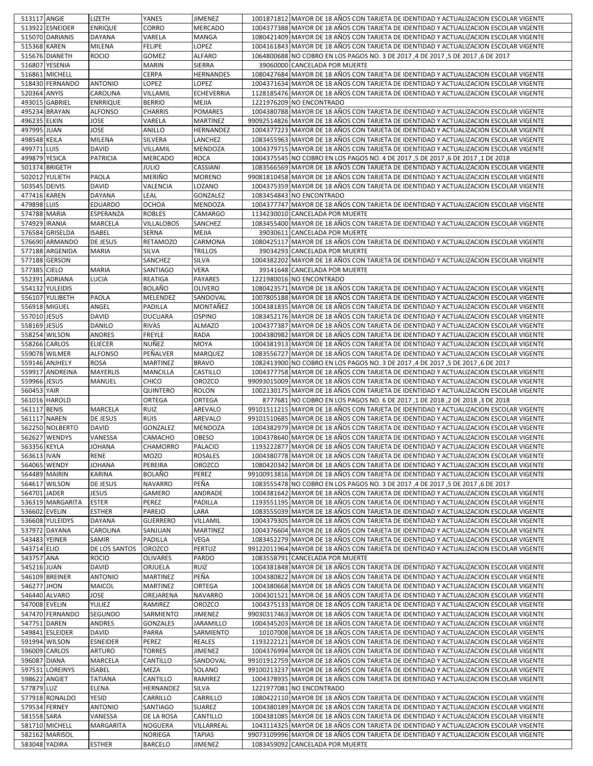| 513117 ANGIE  |                  | LIZETH           | YANES             | JIMENEZ           | 1001871812 MAYOR DE 18 AÑOS CON TARJETA DE IDENTIDAD Y ACTUALIZACION ESCOLAR VIGENTE  |
|---------------|------------------|------------------|-------------------|-------------------|---------------------------------------------------------------------------------------|
|               | 513922 ESNEIDER  | <b>ENRIQUE</b>   | CORRO             | <b>MERCADO</b>    | 1004377388 MAYOR DE 18 AÑOS CON TARJETA DE IDENTIDAD Y ACTUALIZACION ESCOLAR VIGENTE  |
|               | 515070 DARIANIS  | <b>DAYANA</b>    | VARELA            | <b>MANGA</b>      | 1080421409 MAYOR DE 18 AÑOS CON TARJETA DE IDENTIDAD Y ACTUALIZACION ESCOLAR VIGENTE  |
| 515368 KAREN  |                  | <b>MILENA</b>    | <b>FELIPE</b>     | LOPEZ             | 1004161843 MAYOR DE 18 AÑOS CON TARJETA DE IDENTIDAD Y ACTUALIZACION ESCOLAR VIGENTE  |
|               | 515676 DIANETH   | <b>ROCIO</b>     | GOMEZ             | <b>ALFARO</b>     | 1064800688 INO COBRO EN LOS PAGOS NO. 3 DE 2017,4 DE 2017,5 DE 2017,6 DE 2017         |
|               | 516807 YESENIA   |                  |                   | <b>SIERRA</b>     | 39060000 CANCELADA POR MUERTE                                                         |
|               |                  |                  | <b>MARIN</b>      |                   |                                                                                       |
|               | 516861 MICHELL   |                  | CERPA             | <b>HERNANDES</b>  | 1080427684 MAYOR DE 18 AÑOS CON TARJETA DE IDENTIDAD Y ACTUALIZACION ESCOLAR VIGENTE  |
|               | 518430 FERNANDO  | <b>ANTONIO</b>   | LOPEZ             | LOPEZ             | 1004371634 MAYOR DE 18 AÑOS CON TARJETA DE IDENTIDAD Y ACTUALIZACION ESCOLAR VIGENTE  |
| 520364 ANYIS  |                  | CAROLINA         | VILLAMIL          | <b>ECHEVERRIA</b> | 1128185476 MAYOR DE 18 AÑOS CON TARJETA DE IDENTIDAD Y ACTUALIZACION ESCOLAR VIGENTE  |
|               | 493015 GABRIEL   | <b>ENRRIQUE</b>  | <b>BERRIO</b>     | MEJIA             | 1221976209 NO ENCONTRADO                                                              |
|               | 495234 BRAYAN    | <b>ALFONSO</b>   | <b>CHARRIS</b>    | <b>POMARES</b>    | 1004380788 MAYOR DE 18 AÑOS CON TARJETA DE IDENTIDAD Y ACTUALIZACION ESCOLAR VIGENTE  |
| 496235 ELKIN  |                  | JOSE             | VARELA            | <b>MARTINEZ</b>   | 99092514826 MAYOR DE 18 AÑOS CON TARJETA DE IDENTIDAD Y ACTUALIZACION ESCOLAR VIGENTE |
| 497995 JUAN   |                  | JOSE             | ANILLO            | HERNANDEZ         | 1004377223 MAYOR DE 18 AÑOS CON TARJETA DE IDENTIDAD Y ACTUALIZACION ESCOLAR VIGENTE  |
| 498548 KEILA  |                  | MILENA           | SILVERA           | LANCHEZ           | 1083455963 MAYOR DE 18 AÑOS CON TARJETA DE IDENTIDAD Y ACTUALIZACION ESCOLAR VIGENTE  |
| 499771 LUIS   |                  | <b>DAVID</b>     | VILLAMIL          | <b>MENDOZA</b>    | 1004379715 MAYOR DE 18 AÑOS CON TARJETA DE IDENTIDAD Y ACTUALIZACION ESCOLAR VIGENTE  |
| 499879 YESICA |                  | <b>PATRICIA</b>  | MERCADO           | <b>ROCA</b>       | 1004375545 NO COBRO EN LOS PAGOS NO. 4 DE 2017,5 DE 2017,6 DE 2017,1 DE 2018          |
|               | 501374 BRIGETH   |                  | JULIO             | CASSIANI          | 1083566569 MAYOR DE 18 AÑOS CON TARJETA DE IDENTIDAD Y ACTUALIZACION ESCOLAR VIGENTE  |
|               | 502012 YULIETH   | PAOLA            | MERIÑO            | <b>MORENO</b>     | 99081810458 MAYOR DE 18 AÑOS CON TARJETA DE IDENTIDAD Y ACTUALIZACION ESCOLAR VIGENTE |
| 503545 DEIVIS |                  | <b>DAVID</b>     | VALENCIA          | LOZANO            | 1004375359 MAYOR DE 18 AÑOS CON TARJETA DE IDENTIDAD Y ACTUALIZACION ESCOLAR VIGENTE  |
| 477416 KAREN  |                  | <b>DAYANA</b>    | LEAL              | GONZALEZ          | 1083454843 NO ENCONTRADO                                                              |
| 479898 LUIS   |                  | <b>EDUARDO</b>   | <b>OCHOA</b>      | MENDOZA           | 1004377747 MAYOR DE 18 AÑOS CON TARJETA DE IDENTIDAD Y ACTUALIZACION ESCOLAR VIGENTE  |
|               |                  |                  |                   |                   |                                                                                       |
| 574788 MARIA  |                  | ESPERANZA        | <b>ROBLES</b>     | <b>CAMARGO</b>    | 1134230010 CANCELADA POR MUERTE                                                       |
| 574929 IRANIA |                  | MARCELA          | <b>VILLALOBOS</b> | SANCHEZ           | 1083455400 MAYOR DE 18 AÑOS CON TARJETA DE IDENTIDAD Y ACTUALIZACION ESCOLAR VIGENTE  |
|               | 576584 GRISELDA  | <b>ISABEL</b>    | SERNA             | MEJIA             | 39030611 CANCELADA POR MUERTE                                                         |
|               | 576690 ARMANDO   | <b>DE JESUS</b>  | RETAMOZO          | CARMONA           | 1080425117 MAYOR DE 18 AÑOS CON TARJETA DE IDENTIDAD Y ACTUALIZACION ESCOLAR VIGENTE  |
|               | 577188 ARGENIDA  | <b>MARIA</b>     | SILVA             | <b>TRILLOS</b>    | 39034293 CANCELADA POR MUERTE                                                         |
|               | 577188 GERSON    |                  | SANCHEZ           | SILVA             | 1004382202 MAYOR DE 18 AÑOS CON TARJETA DE IDENTIDAD Y ACTUALIZACION ESCOLAR VIGENTE  |
| 577385 CIELO  |                  | <b>MARIA</b>     | <b>SANTIAGO</b>   | <b>VERA</b>       | 39141648 CANCELADA POR MUERTE                                                         |
|               | 552391 ADRIANA   | LUCIA            | REATIGA           | PAYARES           | 1221980016 NO ENCONTRADO                                                              |
|               | 554132 YULEIDIS  |                  | <b>BOLAÑO</b>     | OLIVERO           | 1080423571 MAYOR DE 18 AÑOS CON TARJETA DE IDENTIDAD Y ACTUALIZACION ESCOLAR VIGENTE  |
|               | 556107 YULIBETH  | <b>PAOLA</b>     | MELENDEZ          | SANDOVAL          | 1007805188 MAYOR DE 18 AÑOS CON TARJETA DE IDENTIDAD Y ACTUALIZACION ESCOLAR VIGENTE  |
|               | 556918 MIGUEL    | ANGEL            | PADILLA           | MONTAÑEZ          | 1004381835 MAYOR DE 18 AÑOS CON TARJETA DE IDENTIDAD Y ACTUALIZACION ESCOLAR VIGENTE  |
| 557010 JESUS  |                  | <b>DAVID</b>     | <b>DUCUARA</b>    | <b>OSPINO</b>     | 1083452176 MAYOR DE 18 AÑOS CON TARJETA DE IDENTIDAD Y ACTUALIZACION ESCOLAR VIGENTE  |
| 558169 JESUS  |                  | <b>DANILO</b>    | <b>RIVAS</b>      | <b>ALMAZO</b>     | 1004377387 MAYOR DE 18 AÑOS CON TARJETA DE IDENTIDAD Y ACTUALIZACION ESCOLAR VIGENTE  |
|               |                  |                  |                   | <b>RADA</b>       |                                                                                       |
|               | 558254 WILSON    | <b>ANDRES</b>    | FREYLE            |                   | 1004380982 MAYOR DE 18 AÑOS CON TARJETA DE IDENTIDAD Y ACTUALIZACION ESCOLAR VIGENTE  |
|               | 558266 CARLOS    | <b>ELIECER</b>   | NUÑEZ             | <b>MOYA</b>       | 1004381913 MAYOR DE 18 AÑOS CON TARJETA DE IDENTIDAD Y ACTUALIZACION ESCOLAR VIGENTE  |
|               | 559078 WILMER    | <b>ALFONSO</b>   | PEÑALVER          | <b>MARQUEZ</b>    | 1083556727 MAYOR DE 18 AÑOS CON TARJETA DE IDENTIDAD Y ACTUALIZACION ESCOLAR VIGENTE  |
|               | 559146 ANJHELY   | <b>ROSA</b>      | <b>MARTINEZ</b>   | <b>BRAVO</b>      | 1082413900 NO COBRO EN LOS PAGOS NO. 3 DE 2017,4 DE 2017,5 DE 2017,6 DE 2017          |
|               | 559917 ANDREINA  | <b>MAYERLIS</b>  | MANCILLA          | CASTILLO          | 1004377758 MAYOR DE 18 AÑOS CON TARJETA DE IDENTIDAD Y ACTUALIZACION ESCOLAR VIGENTE  |
| 559966 JESUS  |                  | <b>MANUEL</b>    | CHICO             | <b>OROZCO</b>     | 99093015009 MAYOR DE 18 AÑOS CON TARJETA DE IDENTIDAD Y ACTUALIZACION ESCOLAR VIGENTE |
| 560453 YAIR   |                  |                  | QUINTERO          | <b>ROLON</b>      | 1002130175 MAYOR DE 18 AÑOS CON TARJETA DE IDENTIDAD Y ACTUALIZACION ESCOLAR VIGENTE  |
|               | 561016 HAROLD    |                  | ORTEGA            | ORTEGA            | 8777681 NO COBRO EN LOS PAGOS NO. 6 DE 2017 ,1 DE 2018 ,2 DE 2018 ,3 DE 2018          |
| 561117 BENIS  |                  | <b>MARCELA</b>   | <b>RUIZ</b>       | AREVALO           | 99101511215 MAYOR DE 18 AÑOS CON TARJETA DE IDENTIDAD Y ACTUALIZACION ESCOLAR VIGENTE |
| 561117 NAREN  |                  | DE JESUS         | <b>RUIS</b>       | AREVALO           | 99101510685 MAYOR DE 18 AÑOS CON TARJETA DE IDENTIDAD Y ACTUALIZACION ESCOLAR VIGENTE |
|               | 562250 NOLBERTO  | <b>DAVID</b>     | GONZALEZ          | <b>MENDOZA</b>    | 1004382979 MAYOR DE 18 AÑOS CON TARJETA DE IDENTIDAD Y ACTUALIZACION ESCOLAR VIGENTE  |
|               | 562627 WENDYS    | VANESSA          | CAMACHO           | <b>OBESO</b>      | 1004378640 MAYOR DE 18 AÑOS CON TARJETA DE IDENTIDAD Y ACTUALIZACION ESCOLAR VIGENTE  |
| 563356 KEYLA  |                  | <b>JOHANA</b>    | <b>CHAMORRO</b>   | PALACIO           | 1193222877 MAYOR DE 18 AÑOS CON TARJETA DE IDENTIDAD Y ACTUALIZACION ESCOLAR VIGENTE  |
| 563613 IVAN   |                  | <b>RENE</b>      | <b>MOZO</b>       | ROSALES           | 1004380778 MAYOR DE 18 AÑOS CON TARJETA DE IDENTIDAD Y ACTUALIZACION ESCOLAR VIGENTE  |
|               | 564065 WENDY     | JOHANA           | PEREIRA           | OROZCO            | 1080420342 MAYOR DE 18 AÑOS CON TARJETA DE IDENTIDAD Y ACTUALIZACION ESCOLAR VIGENTE  |
|               |                  |                  |                   |                   |                                                                                       |
|               | 564489 MAIRIN    | KARINA           | BOLAÑO            | PEREZ             | 99100913816 MAYOR DE 18 AÑOS CON TARJETA DE IDENTIDAD Y ACTUALIZACION ESCOLAR VIGENTE |
|               | 564617 WILSON    | DE JESUS         | <b>NAVARRO</b>    | PEÑA              | 1083555478 NO COBRO EN LOS PAGOS NO. 3 DE 2017,4 DE 2017,5 DE 2017,6 DE 2017          |
| 564701 JADER  |                  | <b>JESUS</b>     | GAMERO            | ANDRADE           | 1004381642 MAYOR DE 18 AÑOS CON TARJETA DE IDENTIDAD Y ACTUALIZACION ESCOLAR VIGENTE  |
|               | 536319 MARGARITA | <b>ESTER</b>     | PEREZ             | <b>PADILLA</b>    | 1193551195 MAYOR DE 18 AÑOS CON TARJETA DE IDENTIDAD Y ACTUALIZACION ESCOLAR VIGENTE  |
| 536602 EVELIN |                  | <b>ESTHER</b>    | PAREJO            | LARA              | 1083555039 MAYOR DE 18 AÑOS CON TARJETA DE IDENTIDAD Y ACTUALIZACION ESCOLAR VIGENTE  |
|               | 536608 YULEIDYS  | <b>DAYANA</b>    | <b>GUERRERO</b>   | VILLAMIL          | 1004379305 MAYOR DE 18 AÑOS CON TARJETA DE IDENTIDAD Y ACTUALIZACION ESCOLAR VIGENTE  |
|               | 537972 DAYANA    | CAROLINA         | SANJUAN           | <b>MARTINEZ</b>   | 1004376604 MAYOR DE 18 AÑOS CON TARJETA DE IDENTIDAD Y ACTUALIZACION ESCOLAR VIGENTE  |
| 543483 YEINER |                  | SAMIR            | PADILLA           | VEGA              | 1083452279 MAYOR DE 18 AÑOS CON TARJETA DE IDENTIDAD Y ACTUALIZACION ESCOLAR VIGENTE  |
| 543714 ELIO   |                  | DE LOS SANTOS    | OROZCO            | PERTUZ            | 99122011964 MAYOR DE 18 AÑOS CON TARJETA DE IDENTIDAD Y ACTUALIZACION ESCOLAR VIGENTE |
| 543757 ANA    |                  | <b>ROCIO</b>     | <b>OLIVARES</b>   | PARDO             | 1083558791 CANCELADA POR MUERTE                                                       |
| 545216 JUAN   |                  | <b>DAVID</b>     | ORJUELA           | RUIZ              | 1004381848 MAYOR DE 18 AÑOS CON TARJETA DE IDENTIDAD Y ACTUALIZACION ESCOLAR VIGENTE  |
|               | 546109 BREINER   | <b>ANTONIO</b>   | MARTINEZ          | PEÑA              | 1004380822 MAYOR DE 18 AÑOS CON TARJETA DE IDENTIDAD Y ACTUALIZACION ESCOLAR VIGENTE  |
| 546277 JHON   |                  | MAICOL           | MARTINEZ          | ORTEGA            | 1004380668 MAYOR DE 18 AÑOS CON TARJETA DE IDENTIDAD Y ACTUALIZACION ESCOLAR VIGENTE  |
|               | 546440 ALVARO    | JOSE             | OREJARENA         | <b>NAVARRO</b>    | 1004301521 MAYOR DE 18 AÑOS CON TARJETA DE IDENTIDAD Y ACTUALIZACION ESCOLAR VIGENTE  |
| 547008 EVELIN |                  | YULIEZ           | RAMIREZ           | OROZCO            | 1004375133 MAYOR DE 18 AÑOS CON TARJETA DE IDENTIDAD Y ACTUALIZACION ESCOLAR VIGENTE  |
|               | 547470 FERNANDO  | <b>SEGUNDO</b>   | SARMIENTO         | <b>JIMENEZ</b>    | 99030317463 MAYOR DE 18 AÑOS CON TARJETA DE IDENTIDAD Y ACTUALIZACION ESCOLAR VIGENTE |
| 547751 DAREN  |                  | ANDRES           | GONZALES          | <b>JARAMILLO</b>  | 1004345203 MAYOR DE 18 AÑOS CON TARJETA DE IDENTIDAD Y ACTUALIZACION ESCOLAR VIGENTE  |
|               | 549841 ESLEIDER  | DAVID            | PARRA             | SARMIENTO         |                                                                                       |
|               |                  |                  |                   |                   | 10107008 MAYOR DE 18 AÑOS CON TARJETA DE IDENTIDAD Y ACTUALIZACION ESCOLAR VIGENTE    |
|               | 591994 WILSON    | <b>ESNEIDER</b>  | PEREZ             | <b>REALES</b>     | 1193222121 MAYOR DE 18 AÑOS CON TARJETA DE IDENTIDAD Y ACTUALIZACION ESCOLAR VIGENTE  |
|               | 596009 CARLOS    | <b>ARTURO</b>    | TORRES            | JIMENEZ           | 1004376994 MAYOR DE 18 AÑOS CON TARJETA DE IDENTIDAD Y ACTUALIZACION ESCOLAR VIGENTE  |
| 596087 DIANA  |                  | MARCELA          | CANTILLO          | SANDOVAL          | 99101912759 MAYOR DE 18 AÑOS CON TARJETA DE IDENTIDAD Y ACTUALIZACION ESCOLAR VIGENTE |
|               | 597531 LOREINYS  | <b>ISABEL</b>    | MEZA              | SOLANO            | 99100213237 MAYOR DE 18 AÑOS CON TARJETA DE IDENTIDAD Y ACTUALIZACION ESCOLAR VIGENTE |
| 598622 ANGIET |                  | TATIANA          | CANTILLO          | RAMIREZ           | 1004378935 MAYOR DE 18 AÑOS CON TARJETA DE IDENTIDAD Y ACTUALIZACION ESCOLAR VIGENTE  |
| 577879 LUZ    |                  | ELENA            | HERNANDEZ         | SILVA             | 1221977081 NO ENCONTRADO                                                              |
|               | 577918 RONALDO   | YESID            | CARRILLO          | CARRILLO          | 1080422110 MAYOR DE 18 AÑOS CON TARJETA DE IDENTIDAD Y ACTUALIZACION ESCOLAR VIGENTE  |
| 579534 FERNEY |                  | <b>ANTONIO</b>   | SANTIAGO          | SUAREZ            | 1004380189 MAYOR DE 18 AÑOS CON TARJETA DE IDENTIDAD Y ACTUALIZACION ESCOLAR VIGENTE  |
| 581558 SARA   |                  | VANESSA          | DE LA ROSA        | CANTILLO          | 1004381085 MAYOR DE 18 AÑOS CON TARJETA DE IDENTIDAD Y ACTUALIZACION ESCOLAR VIGENTE  |
|               | 581710 MICHELL   | <b>MARGARITA</b> | NOGUERA           | VILLARREAL        | 1043114325 MAYOR DE 18 AÑOS CON TARJETA DE IDENTIDAD Y ACTUALIZACION ESCOLAR VIGENTE  |
|               | 582162 MARISOL   |                  | NORIEGA           | <b>TAPIAS</b>     | 99073109996 MAYOR DE 18 AÑOS CON TARJETA DE IDENTIDAD Y ACTUALIZACION ESCOLAR VIGENTE |
| 583048 YADIRA |                  | <b>ESTHER</b>    | <b>BARCELO</b>    | <b>JIMENEZ</b>    | 1083459092 CANCELADA POR MUERTE                                                       |
|               |                  |                  |                   |                   |                                                                                       |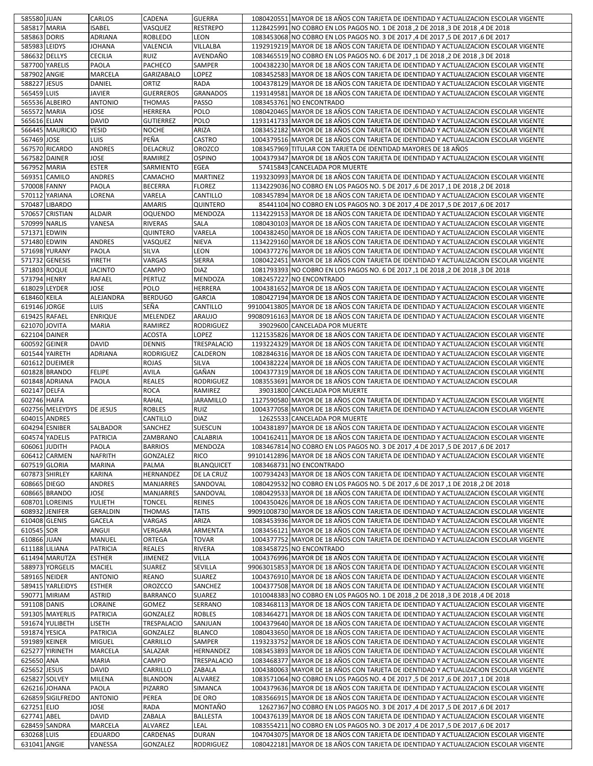|                             | 585580 JUAN       | CARLOS             | CADENA               | <b>GUERRA</b>             | 1080420551 MAYOR DE 18 AÑOS CON TARJETA DE IDENTIDAD Y ACTUALIZACION ESCOLAR VIGENTE                                                                                         |
|-----------------------------|-------------------|--------------------|----------------------|---------------------------|------------------------------------------------------------------------------------------------------------------------------------------------------------------------------|
| 585817 MARIA                |                   | <b>ISABEL</b>      | VASQUEZ              | <b>RESTREPO</b>           | 1128425991 NO COBRO EN LOS PAGOS NO. 1 DE 2018, 2 DE 2018, 3 DE 2018,4 DE 2018                                                                                               |
| 585863 DORIS                |                   | ADRIANA            | <b>ROBLEDO</b>       | LEON                      | 1083453068 NO COBRO EN LOS PAGOS NO. 3 DE 2017,4 DE 2017,5 DE 2017,6 DE 2017                                                                                                 |
| 585983 LEIDYS               |                   | <b>JOHANA</b>      | VALENCIA             | VILLALBA                  | 1192919219 MAYOR DE 18 AÑOS CON TARJETA DE IDENTIDAD Y ACTUALIZACION ESCOLAR VIGENTE                                                                                         |
| 586632 DELLYS               |                   | <b>CECILIA</b>     | RUIZ                 | AVENDAÑO                  | 1083465519 NO COBRO EN LOS PAGOS NO. 6 DE 2017,1 DE 2018, 2 DE 2018,3 DE 2018                                                                                                |
| 587700 YARELIS              |                   | PAOLA              | PACHECO              | <b>SAMPER</b>             | 1004382230 MAYOR DE 18 AÑOS CON TARJETA DE IDENTIDAD Y ACTUALIZACION ESCOLAR VIGENTE                                                                                         |
| 587902 ANGIE                |                   | MARCELA            | <b>GARIZABALO</b>    | LOPEZ                     | 1083452583 MAYOR DE 18 AÑOS CON TARJETA DE IDENTIDAD Y ACTUALIZACION ESCOLAR VIGENTE                                                                                         |
|                             |                   |                    |                      |                           |                                                                                                                                                                              |
| 588227 JESUS                |                   | DANIEL             | ORTIZ                | <b>RADA</b>               | 1004378129 MAYOR DE 18 AÑOS CON TARJETA DE IDENTIDAD Y ACTUALIZACION ESCOLAR VIGENTE                                                                                         |
| 565459 LUIS                 |                   | <b>JAVIER</b>      | <b>GUERREROS</b>     | <b>GRANADOS</b>           | 1193149581 MAYOR DE 18 AÑOS CON TARJETA DE IDENTIDAD Y ACTUALIZACION ESCOLAR VIGENTE                                                                                         |
|                             | 565536 ALBEIRO    | <b>ANTONIO</b>     | <b>THOMAS</b>        | <b>PASSO</b>              | 1083453761 NO ENCONTRADO                                                                                                                                                     |
| 565572 MARIA                |                   | <b>JOSE</b>        | HERRERA              | <b>POLO</b>               | 1080420465 MAYOR DE 18 AÑOS CON TARJETA DE IDENTIDAD Y ACTUALIZACION ESCOLAR VIGENTE                                                                                         |
| 565616 ELIAN                |                   | <b>DAVID</b>       | <b>GUTIERREZ</b>     | <b>POLO</b>               | 1193141733 MAYOR DE 18 AÑOS CON TARJETA DE IDENTIDAD Y ACTUALIZACION ESCOLAR VIGENTE                                                                                         |
|                             | 566445 MAURICIO   | YESID              | <b>NOCHE</b>         | ARIZA                     | 1083452182 MAYOR DE 18 AÑOS CON TARJETA DE IDENTIDAD Y ACTUALIZACION ESCOLAR VIGENTE                                                                                         |
| 567469 JOSE                 |                   | <b>LUIS</b>        | PEÑA                 | <b>CASTRO</b>             | 1004379516 MAYOR DE 18 AÑOS CON TARJETA DE IDENTIDAD Y ACTUALIZACION ESCOLAR VIGENTE                                                                                         |
|                             | 567570 RICARDO    | ANDRES             | DELACRUZ             | <b>OROZCO</b>             | 1083457969 TITULAR CON TARJETA DE IDENTIDAD MAYORES DE 18 AÑOS                                                                                                               |
| 567582 DAINER               |                   | <b>JOSE</b>        | RAMIREZ              | <b>OSPINO</b>             | 1004379347 MAYOR DE 18 AÑOS CON TARJETA DE IDENTIDAD Y ACTUALIZACION ESCOLAR VIGENTE                                                                                         |
| 567952 MARIA                |                   | <b>ESTER</b>       | SARMIENTO            | <b>EGEA</b>               | 57415843 CANCELADA POR MUERTE                                                                                                                                                |
|                             | 569351 CAMILO     | <b>ANDRES</b>      | CAMACHO              | <b>MARTINEZ</b>           | 1193230993 MAYOR DE 18 AÑOS CON TARJETA DE IDENTIDAD Y ACTUALIZACION ESCOLAR VIGENTE                                                                                         |
| 570008 FANNY                |                   | PAOLA              | <b>BECERRA</b>       | <b>FLOREZ</b>             | 1134229036 NO COBRO EN LOS PAGOS NO. 5 DE 2017, 6 DE 2017, 1 DE 2018, 2 DE 2018                                                                                              |
|                             | 570112 YARIANA    | LORENA             | VARELA               | CANTILLO                  | 1083457894 MAYOR DE 18 AÑOS CON TARJETA DE IDENTIDAD Y ACTUALIZACION ESCOLAR VIGENTE                                                                                         |
|                             | 570487 LIBARDO    |                    | AMARIS               | <b>QUINTERO</b>           | 85441104 NO COBRO EN LOS PAGOS NO. 3 DE 2017 ,4 DE 2017 ,5 DE 2017 ,6 DE 2017                                                                                                |
|                             | 570657 CRISTIAN   | <b>ALDAIR</b>      | <b>OQUENDO</b>       | <b>MENDOZA</b>            | 1134229153 MAYOR DE 18 AÑOS CON TARJETA DE IDENTIDAD Y ACTUALIZACION ESCOLAR VIGENTE                                                                                         |
| 570999 NARLIS               |                   | VANESA             | <b>RIVERAS</b>       | <b>SALA</b>               | 1080430103 MAYOR DE 18 AÑOS CON TARJETA DE IDENTIDAD Y ACTUALIZACION ESCOLAR VIGENTE                                                                                         |
| 571371 EDWIN                |                   |                    | QUINTERO             | VARELA                    | 1004382450 MAYOR DE 18 AÑOS CON TARJETA DE IDENTIDAD Y ACTUALIZACION ESCOLAR VIGENTE                                                                                         |
| 571480 EDWIN                |                   | <b>ANDRES</b>      | VASQUEZ              | <b>NIEVA</b>              | 1134229160 MAYOR DE 18 AÑOS CON TARJETA DE IDENTIDAD Y ACTUALIZACION ESCOLAR VIGENTE                                                                                         |
|                             |                   |                    |                      |                           |                                                                                                                                                                              |
|                             | 571698 YURANY     | PAOLA              | SILVA                | LEON                      | 1004377276 MAYOR DE 18 AÑOS CON TARJETA DE IDENTIDAD Y ACTUALIZACION ESCOLAR VIGENTE                                                                                         |
|                             | 571732 GENESIS    | <b>YIRETH</b>      | VARGAS               | <b>SIERRA</b>             | 1080422451 MAYOR DE 18 AÑOS CON TARJETA DE IDENTIDAD Y ACTUALIZACION ESCOLAR VIGENTE                                                                                         |
| 571803 ROQUE                |                   | <b>JACINTO</b>     | CAMPO                | <b>DIAZ</b>               | 1081793393 NO COBRO EN LOS PAGOS NO. 6 DE 2017 ,1 DE 2018, 2 DE 2018 ,3 DE 2018                                                                                              |
| 573794 HENRY                |                   | <b>RAFAEL</b>      | <b>PERTUZ</b>        | <b>MENDOZA</b>            | 1082457227 NO ENCONTRADO                                                                                                                                                     |
| 618029 LEYDER               |                   | <b>JOSE</b>        | <b>POLO</b>          | <b>HERRERA</b>            | 1004381652 MAYOR DE 18 AÑOS CON TARJETA DE IDENTIDAD Y ACTUALIZACION ESCOLAR VIGENTE                                                                                         |
| 618460 KEILA                |                   | ALEJANDRA          | <b>BERDUGO</b>       | <b>GARCIA</b>             | 1080427194 MAYOR DE 18 AÑOS CON TARJETA DE IDENTIDAD Y ACTUALIZACION ESCOLAR VIGENTE                                                                                         |
| 619146 JORGE                |                   | <b>LUIS</b>        | SEÑA                 | CANTILLO                  | 99100413805 MAYOR DE 18 AÑOS CON TARJETA DE IDENTIDAD Y ACTUALIZACION ESCOLAR VIGENTE                                                                                        |
| 619425 RAFAEL               |                   | <b>ENRIQUE</b>     | MELENDEZ             | <b>ARAUJO</b>             | 99080916163 MAYOR DE 18 AÑOS CON TARJETA DE IDENTIDAD Y ACTUALIZACION ESCOLAR VIGENTE                                                                                        |
| 621070 JOVITA               |                   | <b>MARIA</b>       | RAMIREZ              | <b>RODRIGUEZ</b>          | 39029600 CANCELADA POR MUERTE                                                                                                                                                |
| 622104 DAINER               |                   |                    | <b>ACOSTA</b>        | LOPEZ                     | 1121535826 MAYOR DE 18 AÑOS CON TARJETA DE IDENTIDAD Y ACTUALIZACION ESCOLAR VIGENTE                                                                                         |
| 600592 GEINER               |                   | <b>DAVID</b>       | <b>DENNIS</b>        | TRESPALACIO               | 1193224329 MAYOR DE 18 AÑOS CON TARJETA DE IDENTIDAD Y ACTUALIZACION ESCOLAR VIGENTE                                                                                         |
|                             | 601544 YAIRETH    | <b>ADRIANA</b>     | <b>RODRIGUEZ</b>     | CALDERON                  | 1082846316 MAYOR DE 18 AÑOS CON TARJETA DE IDENTIDAD Y ACTUALIZACION ESCOLAR VIGENTE                                                                                         |
|                             | 601612 DUEIMER    |                    | <b>ROJAS</b>         | <b>SILVA</b>              | 1004382224 MAYOR DE 18 AÑOS CON TARJETA DE IDENTIDAD Y ACTUALIZACION ESCOLAR VIGENTE                                                                                         |
|                             | 601828 BRANDO     | <b>FELIPE</b>      | <b>AVILA</b>         | GAÑAN                     | 1004377319 MAYOR DE 18 AÑOS CON TARJETA DE IDENTIDAD Y ACTUALIZACION ESCOLAR VIGENTE                                                                                         |
|                             | 601848 ADRIANA    | PAOLA              | <b>REALES</b>        | <b>RODRIGUEZ</b>          | 1083553691 MAYOR DE 18 AÑOS CON TARJETA DE IDENTIDAD Y ACTUALIZACION ESCOLAR                                                                                                 |
| 602147 DELFA                |                   |                    | <b>ROCA</b>          | RAMIREZ                   | 39031800 CANCELADA POR MUERTE                                                                                                                                                |
| 602746 HAIFA                |                   |                    | <b>RAHAL</b>         | <b>JARAMILLO</b>          | 1127590580 MAYOR DE 18 AÑOS CON TARJETA DE IDENTIDAD Y ACTUALIZACION ESCOLAR VIGENTE                                                                                         |
|                             | 602756 MELEYDYS   | DE JESUS           | <b>ROBLES</b>        | RUIZ                      | 1004377058 MAYOR DE 18 AÑOS CON TARJETA DE IDENTIDAD Y ACTUALIZACION ESCOLAR VIGENTE                                                                                         |
|                             |                   |                    | CANTILLO             | <b>DIAZ</b>               |                                                                                                                                                                              |
|                             | 604015 ANDRES     |                    |                      |                           | 12625533 CANCELADA POR MUERTE                                                                                                                                                |
|                             | 604294 ESNIBER    | SALBADOR           | SANCHEZ              | <b>SUESCUN</b>            | 1004381897 MAYOR DE 18 AÑOS CON TARJETA DE IDENTIDAD Y ACTUALIZACION ESCOLAR VIGENTE                                                                                         |
| 604574 YADELIS              |                   | <b>PATRICIA</b>    | ZAMBRANO             | CALABRIA                  | 1004162411 MAYOR DE 18 AÑOS CON TARJETA DE IDENTIDAD Y ACTUALIZACION ESCOLAR VIGENTE                                                                                         |
|                             |                   |                    |                      |                           |                                                                                                                                                                              |
| 606061 JUDITH               |                   | PAOLA              | <b>BARRIOS</b>       | MENDOZA                   | 1083467814 NO COBRO EN LOS PAGOS NO. 3 DE 2017,4 DE 2017,5 DE 2017,6 DE 2017                                                                                                 |
|                             | 606412 CARMEN     | NAFRITH            | <b>GONZALEZ</b>      | <b>RICO</b>               | 99101412896 MAYOR DE 18 AÑOS CON TARJETA DE IDENTIDAD Y ACTUALIZACION ESCOLAR VIGENTE                                                                                        |
| 607519 GLORIA               |                   | <b>MARINA</b>      | PALMA                | <b>BLANQUICET</b>         | 1083468731 NO ENCONTRADO                                                                                                                                                     |
|                             | 607873 SHIRLEY    | KARINA             | HERNANDEZ            | DE LA CRUZ                | 1007934243 MAYOR DE 18 AÑOS CON TARJETA DE IDENTIDAD Y ACTUALIZACION ESCOLAR VIGENTE                                                                                         |
| 608665 DIEGO                |                   | ANDRES             | MANJARRES            | SANDOVAL                  | 1080429532 NO COBRO EN LOS PAGOS NO. 5 DE 2017, 6 DE 2017, 1 DE 2018, 2 DE 2018                                                                                              |
|                             | 608665 BRANDO     | JOSE               | <b>MANJARRES</b>     | SANDOVAL                  | 1080429533 MAYOR DE 18 AÑOS CON TARJETA DE IDENTIDAD Y ACTUALIZACION ESCOLAR VIGENTE                                                                                         |
|                             | 608701 LOREINIS   | YULIETH            | <b>TONCEL</b>        | <b>REINES</b>             | 1004350426 MAYOR DE 18 AÑOS CON TARJETA DE IDENTIDAD Y ACTUALIZACION ESCOLAR VIGENTE                                                                                         |
| 608932 JENIFER              |                   | <b>GERALDIN</b>    | <b>THOMAS</b>        | <b>TATIS</b>              | 99091008730 MAYOR DE 18 AÑOS CON TARJETA DE IDENTIDAD Y ACTUALIZACION ESCOLAR VIGENTE                                                                                        |
| 610408 GLENIS               |                   | <b>GACELA</b>      | VARGAS               | ARIZA                     | 1083453936 MAYOR DE 18 AÑOS CON TARJETA DE IDENTIDAD Y ACTUALIZACION ESCOLAR VIGENTE                                                                                         |
| 610545 SOR                  |                   | ANGUI              | VERGARA              | ARMENTA                   | 1083456121 MAYOR DE 18 AÑOS CON TARJETA DE IDENTIDAD Y ACTUALIZACION ESCOLAR VIGENTE                                                                                         |
| 610866 JUAN                 |                   | MANUEL             | ORTEGA               | TOVAR                     | 1004377752 MAYOR DE 18 AÑOS CON TARJETA DE IDENTIDAD Y ACTUALIZACION ESCOLAR VIGENTE                                                                                         |
| 611188 LILIANA              |                   | <b>PATRICIA</b>    | <b>REALES</b>        | RIVERA                    | 1083458725 NO ENCONTRADO                                                                                                                                                     |
|                             | 611494 MARUTZA    | <b>ESTHER</b>      | JIMENEZ              | <b>VILLA</b>              | 1004376996 MAYOR DE 18 AÑOS CON TARJETA DE IDENTIDAD Y ACTUALIZACION ESCOLAR VIGENTE                                                                                         |
|                             |                   |                    |                      |                           |                                                                                                                                                                              |
|                             | 588973 YORGELIS   | MACIEL             | SUAREZ               | SEVILLA                   | 99063015853 MAYOR DE 18 AÑOS CON TARJETA DE IDENTIDAD Y ACTUALIZACION ESCOLAR VIGENTE                                                                                        |
| 589165 NEIDER               |                   | <b>ANTONIO</b>     | <b>REANO</b>         | <b>SUAREZ</b>             | 1004376910 MAYOR DE 18 AÑOS CON TARJETA DE IDENTIDAD Y ACTUALIZACION ESCOLAR VIGENTE                                                                                         |
|                             | 589415 YARLEIDYS  | <b>ESTHER</b>      | <b>OROZCCO</b>       | SANCHEZ                   | 1004377508 MAYOR DE 18 AÑOS CON TARJETA DE IDENTIDAD Y ACTUALIZACION ESCOLAR VIGENTE                                                                                         |
|                             | 590771 MIRIAM     | <b>ASTRID</b>      | <b>BARRANCO</b>      | <b>SUAREZ</b>             | 1010048383 NO COBRO EN LOS PAGOS NO. 1 DE 2018, 2 DE 2018, 3 DE 2018, 4 DE 2018                                                                                              |
| 591108 DANIS                |                   | LORAINE            | GOMEZ                | <b>SERRANO</b>            | 1083468113 MAYOR DE 18 AÑOS CON TARJETA DE IDENTIDAD Y ACTUALIZACION ESCOLAR VIGENTE                                                                                         |
|                             | 591305 MAYERLIS   | <b>PATRICIA</b>    | GONZALEZ             | <b>ROBLES</b>             | 1083464271 MAYOR DE 18 AÑOS CON TARJETA DE IDENTIDAD Y ACTUALIZACION ESCOLAR VIGENTE                                                                                         |
|                             | 591674 YULIBETH   | liseth             | TRESPALACIO          | SANJUAN                   | 1004379640 MAYOR DE 18 AÑOS CON TARJETA DE IDENTIDAD Y ACTUALIZACION ESCOLAR VIGENTE                                                                                         |
| 591874 YESICA               |                   | <b>PATRICIA</b>    | GONZALEZ             | <b>BLANCO</b>             | 1080433650 MAYOR DE 18 AÑOS CON TARJETA DE IDENTIDAD Y ACTUALIZACION ESCOLAR VIGENTE                                                                                         |
| 591989 KEINER               |                   | MIGUEL             | CARRILLO             | SAMPER                    | 1193233752 MAYOR DE 18 AÑOS CON TARJETA DE IDENTIDAD Y ACTUALIZACION ESCOLAR VIGENTE                                                                                         |
|                             | 625277 YIRINETH   | MARCELA            | SALAZAR              | HERNANDEZ                 | 1083453893 MAYOR DE 18 AÑOS CON TARJETA DE IDENTIDAD Y ACTUALIZACION ESCOLAR VIGENTE                                                                                         |
| 625650 ANA                  |                   | <b>MARIA</b>       | CAMPO                | TRESPALACIO               | 1083468377 MAYOR DE 18 AÑOS CON TARJETA DE IDENTIDAD Y ACTUALIZACION ESCOLAR VIGENTE                                                                                         |
| 625652 JESUS                |                   | DAVID              | CARRILLO             | ZABALA                    | 1004380063 MAYOR DE 18 AÑOS CON TARJETA DE IDENTIDAD Y ACTUALIZACION ESCOLAR VIGENTE                                                                                         |
| 625827 SOLVEY               |                   | MILENA             | <b>BLANDON</b>       | ALVAREZ                   | 1083571064 NO COBRO EN LOS PAGOS NO. 4 DE 2017, 5 DE 2017, 6 DE 2017, 1 DE 2018                                                                                              |
|                             | 626216 JOHANA     | PAOLA              | <b>PIZARRO</b>       | SIMANCA                   | 1004379636 MAYOR DE 18 AÑOS CON TARJETA DE IDENTIDAD Y ACTUALIZACION ESCOLAR VIGENTE                                                                                         |
|                             | 626859 SIGILFREDO | <b>ANTONIO</b>     | PEREA                | DE ORO                    | 1083566915 MAYOR DE 18 AÑOS CON TARJETA DE IDENTIDAD Y ACTUALIZACION ESCOLAR VIGENTE                                                                                         |
| 627251 ELIO                 |                   | JOSE               | RADA                 | MONTAÑO                   | 12627367   12627367   4DE 2017 ,4 DE 2017 ,5 DE 2017 ,6 DE 2017                                                                                                              |
| 627741 ABEL                 |                   | <b>DAVID</b>       | ZABALA               | <b>BALLESTA</b>           |                                                                                                                                                                              |
|                             |                   |                    |                      | LEAL                      | 1004376139 MAYOR DE 18 AÑOS CON TARJETA DE IDENTIDAD Y ACTUALIZACION ESCOLAR VIGENTE                                                                                         |
|                             | 628459 SANDRA     | MARCELA            | ALVAREZ              |                           | 1083554211 NO COBRO EN LOS PAGOS NO. 3 DE 2017,4 DE 2017,5 DE 2017,6 DE 2017                                                                                                 |
| 630268 LUIS<br>631041 ANGIE |                   | EDUARDO<br>VANESSA | CARDENAS<br>GONZALEZ | <b>DURAN</b><br>RODRIGUEZ | 1047043075 MAYOR DE 18 AÑOS CON TARJETA DE IDENTIDAD Y ACTUALIZACION ESCOLAR VIGENTE<br>1080422181 MAYOR DE 18 AÑOS CON TARJETA DE IDENTIDAD Y ACTUALIZACION ESCOLAR VIGENTE |